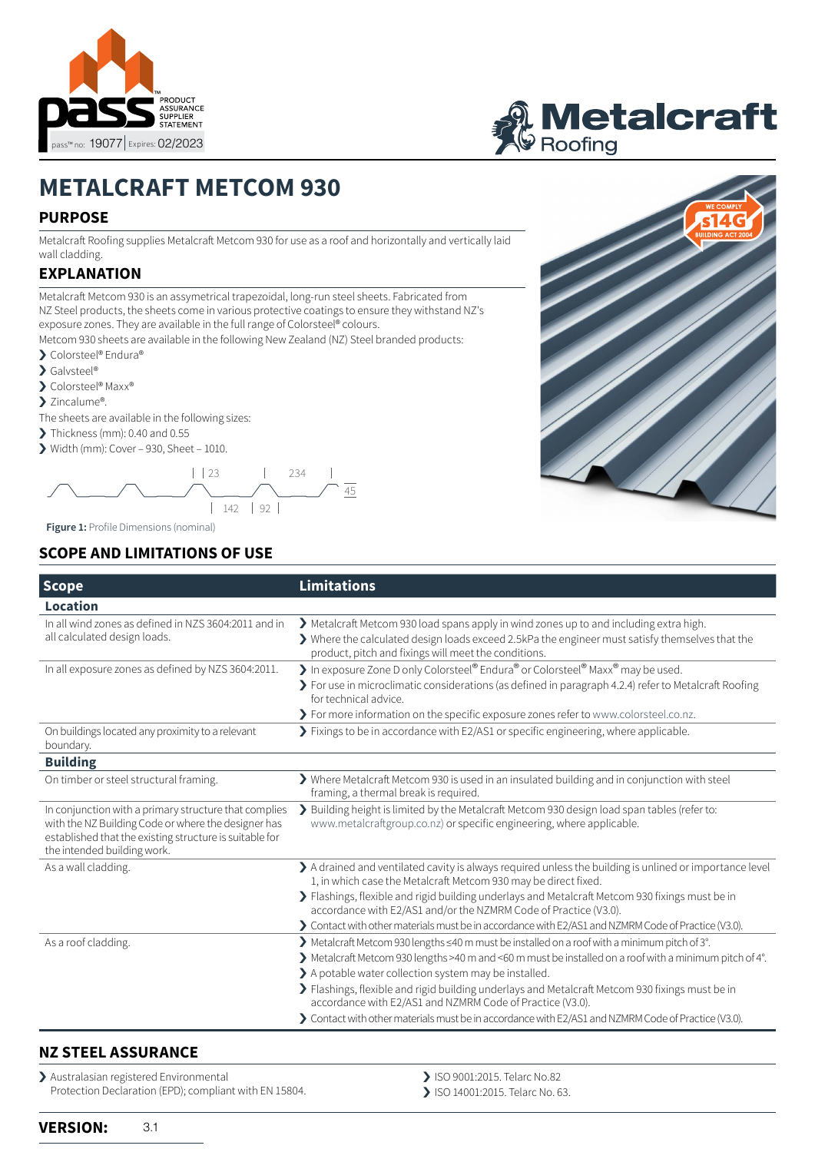



# **METALCRAFT METCOM 930**

## **PURPOSE**

Metalcraft Roofing supplies Metalcraft Metcom 930 for use as a roof and horizontally and vertically laid wall cladding.

# **EXPLANATION**

Metalcraft Metcom 930 is an assymetrical trapezoidal, long-run steel sheets. Fabricated from NZ Steel products, the sheets come in various protective coatings to ensure they withstand NZ's exposure zones. They are available in the full range of Colorsteel® colours.

Metcom 930 sheets are available in the following New Zealand (NZ) Steel branded products:

- › Colorsteel® Endura®
- > Galvsteel®
- > Colorsteel® Maxx®
- > Zincalume®.

The sheets are available in the following sizes:

- $\blacktriangleright$  Thickness (mm): 0.40 and 0.55
- $\triangleright$  Width (mm): Cover 930, Sheet 1010.



**Figure 1:** Profile Dimensions (nominal)

# **SCOPE AND LIMITATIONS OF USE**

| <b>Scope</b>                                                                                                                                                                                           | <b>Limitations</b>                                                                                                                                                                                                                                                                                                                                                                                                                |  |
|--------------------------------------------------------------------------------------------------------------------------------------------------------------------------------------------------------|-----------------------------------------------------------------------------------------------------------------------------------------------------------------------------------------------------------------------------------------------------------------------------------------------------------------------------------------------------------------------------------------------------------------------------------|--|
| Location                                                                                                                                                                                               |                                                                                                                                                                                                                                                                                                                                                                                                                                   |  |
| In all wind zones as defined in NZS 3604:2011 and in<br>all calculated design loads.                                                                                                                   | Metalcraft Metcom 930 load spans apply in wind zones up to and including extra high.<br>$\triangleright$ Where the calculated design loads exceed 2.5kPa the engineer must satisfy themselves that the<br>product, pitch and fixings will meet the conditions.                                                                                                                                                                    |  |
| In all exposure zones as defined by NZS 3604:2011.                                                                                                                                                     | In exposure Zone D only Colorsteel® Endura® or Colorsteel® Maxx® may be used.<br>> For use in microclimatic considerations (as defined in paragraph 4.2.4) refer to Metalcraft Roofing<br>for technical advice.<br>> For more information on the specific exposure zones refer to www.colorsteel.co.nz.                                                                                                                           |  |
| On buildings located any proximity to a relevant<br>boundary.                                                                                                                                          | > Fixings to be in accordance with E2/AS1 or specific engineering, where applicable.                                                                                                                                                                                                                                                                                                                                              |  |
| <b>Building</b>                                                                                                                                                                                        |                                                                                                                                                                                                                                                                                                                                                                                                                                   |  |
| On timber or steel structural framing.                                                                                                                                                                 | > Where Metalcraft Metcom 930 is used in an insulated building and in conjunction with steel<br>framing, a thermal break is required.                                                                                                                                                                                                                                                                                             |  |
| In conjunction with a primary structure that complies<br>with the NZ Building Code or where the designer has<br>established that the existing structure is suitable for<br>the intended building work. | > Building height is limited by the Metalcraft Metcom 930 design load span tables (refer to:<br>www.metalcraftgroup.co.nz) or specific engineering, where applicable.                                                                                                                                                                                                                                                             |  |
| As a wall cladding.                                                                                                                                                                                    | A drained and ventilated cavity is always required unless the building is unlined or importance level<br>1, in which case the Metalcraft Metcom 930 may be direct fixed.                                                                                                                                                                                                                                                          |  |
|                                                                                                                                                                                                        | > Flashings, flexible and rigid building underlays and Metalcraft Metcom 930 fixings must be in<br>accordance with E2/AS1 and/or the NZMRM Code of Practice (V3.0).                                                                                                                                                                                                                                                               |  |
|                                                                                                                                                                                                        | > Contact with other materials must be in accordance with E2/AS1 and NZMRM Code of Practice (V3.0).                                                                                                                                                                                                                                                                                                                               |  |
| As a roof cladding.                                                                                                                                                                                    | > Metalcraft Metcom 930 lengths ≤40 m must be installed on a roof with a minimum pitch of 3°.<br>> Metalcraft Metcom 930 lengths >40 m and <60 m must be installed on a roof with a minimum pitch of 4°.<br>> A potable water collection system may be installed.<br>> Flashings, flexible and rigid building underlays and Metalcraft Metcom 930 fixings must be in<br>accordance with E2/AS1 and NZMRM Code of Practice (V3.0). |  |
|                                                                                                                                                                                                        | > Contact with other materials must be in accordance with E2/AS1 and NZMRM Code of Practice (V3.0).                                                                                                                                                                                                                                                                                                                               |  |

#### **NZ STEEL ASSURANCE**

> Australasian registered Environmental Protection Declaration (EPD); compliant with EN 15804.

- > ISO 9001:2015. Telarc No.82
- › ISO 14001:2015. Telarc No. 63.

**VERSION:** 3.1